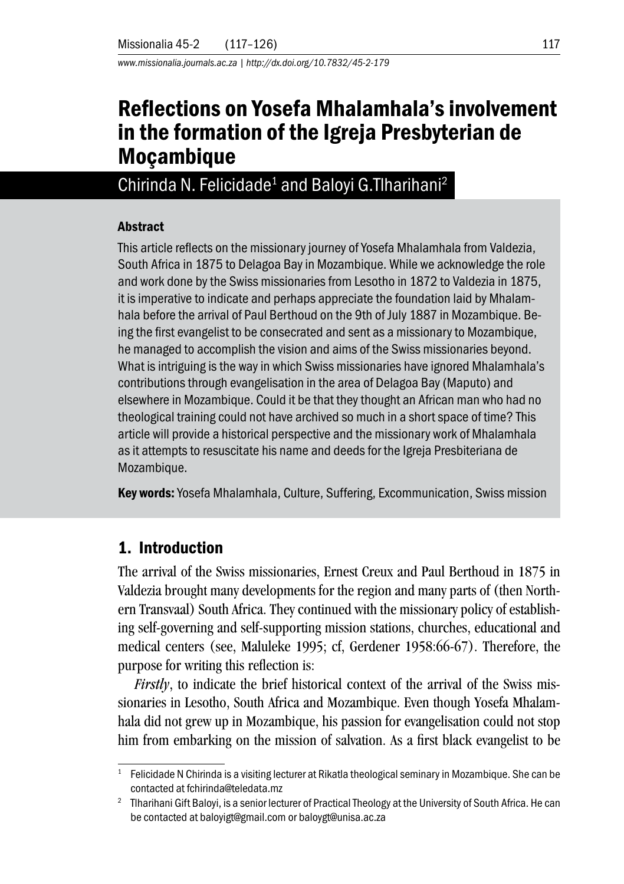*www.missionalia.journals.ac.za | http://dx.doi.org/10.7832/45-2-179* 

# Reflections on Yosefa Mhalamhala's involvement in the formation of the Igreja Presbyterian de **Mocambique**

Chirinda N. Felicidade<sup>1</sup> and Baloyi G. Tharihani<sup>2</sup>

#### Abstract

This article reflects on the missionary journey of Yosefa Mhalamhala from Valdezia, South Africa in 1875 to Delagoa Bay in Mozambique. While we acknowledge the role and work done by the Swiss missionaries from Lesotho in 1872 to Valdezia in 1875, it is imperative to indicate and perhaps appreciate the foundation laid by Mhalamhala before the arrival of Paul Berthoud on the 9th of July 1887 in Mozambique. Being the first evangelist to be consecrated and sent as a missionary to Mozambique, he managed to accomplish the vision and aims of the Swiss missionaries beyond. What is intriguing is the way in which Swiss missionaries have ignored Mhalamhala's contributions through evangelisation in the area of Delagoa Bay (Maputo) and elsewhere in Mozambique. Could it be that they thought an African man who had no theological training could not have archived so much in a short space of time? This article will provide a historical perspective and the missionary work of Mhalamhala as it attempts to resuscitate his name and deeds for the Igreja Presbiteriana de Mozambique.

Key words: Yosefa Mhalamhala, Culture, Suffering, Excommunication, Swiss mission

## 1. Introduction

The arrival of the Swiss missionaries, Ernest Creux and Paul Berthoud in 1875 in Valdezia brought many developments for the region and many parts of (then Northern Transvaal) South Africa. They continued with the missionary policy of establishing self-governing and self-supporting mission stations, churches, educational and medical centers (see, Maluleke 1995; cf, Gerdener 1958:66-67). Therefore, the purpose for writing this reflection is:

*Firstly*, to indicate the brief historical context of the arrival of the Swiss missionaries in Lesotho, South Africa and Mozambique. Even though Yosefa Mhalamhala did not grew up in Mozambique, his passion for evangelisation could not stop him from embarking on the mission of salvation. As a first black evangelist to be

<sup>1</sup> Felicidade N Chirinda is a visiting lecturer at Rikatla theological seminary in Mozambique. She can be contacted at fchirinda@teledata.mz 2 Tlharihani Gift Baloyi, is a senior lecturer of Practical Theology at the University of South Africa. He can

be contacted at baloyigt@gmail.com or baloygt@unisa.ac.za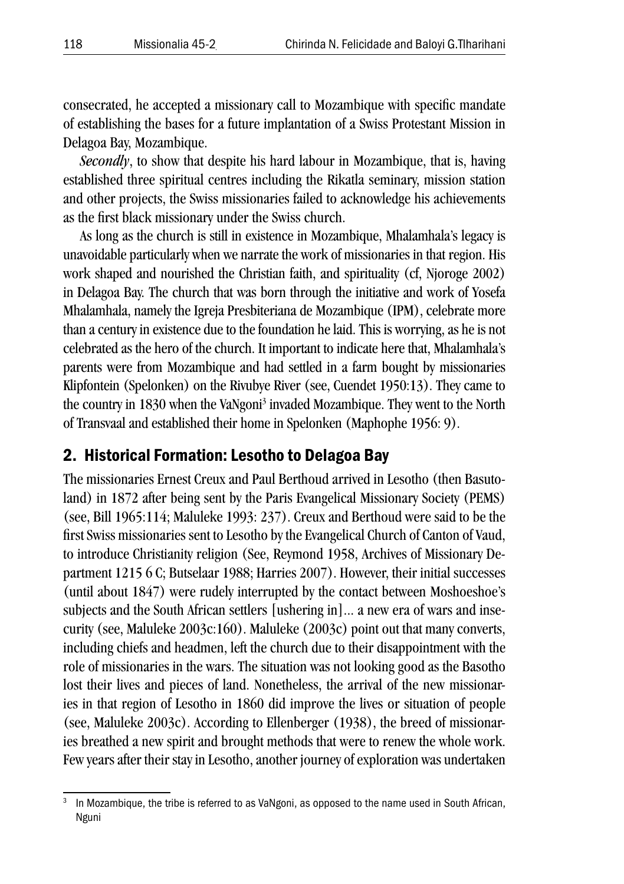consecrated, he accepted a missionary call to Mozambique with specific mandate of establishing the bases for a future implantation of a Swiss Protestant Mission in Delagoa Bay, Mozambique.

*Secondly*, to show that despite his hard labour in Mozambique, that is, having established three spiritual centres including the Rikatla seminary, mission station and other projects, the Swiss missionaries failed to acknowledge his achievements as the first black missionary under the Swiss church.

As long as the church is still in existence in Mozambique, Mhalamhala's legacy is unavoidable particularly when we narrate the work of missionaries in that region. His work shaped and nourished the Christian faith, and spirituality (cf, Njoroge 2002) in Delagoa Bay. The church that was born through the initiative and work of Yosefa Mhalamhala, namely the Igreja Presbiteriana de Mozambique (IPM), celebrate more than a century in existence due to the foundation he laid. This is worrying, as he is not celebrated as the hero of the church. It important to indicate here that, Mhalamhala's parents were from Mozambique and had settled in a farm bought by missionaries Klipfontein (Spelonken) on the Rivubye River (see, Cuendet 1950:13). They came to the country in 1830 when the VaNgoni<sup>3</sup> invaded Mozambique. They went to the North of Transvaal and established their home in Spelonken (Maphophe 1956: 9).

### 2. Historical Formation: Lesotho to Delagoa Bay

The missionaries Ernest Creux and Paul Berthoud arrived in Lesotho (then Basutoland) in 1872 after being sent by the Paris Evangelical Missionary Society (PEMS) (see, Bill 1965:114; Maluleke 1993: 237). Creux and Berthoud were said to be the first Swiss missionaries sent to Lesotho by the Evangelical Church of Canton of Vaud, to introduce Christianity religion (See, Reymond 1958, Archives of Missionary Department 1215 6 C; Butselaar 1988; Harries 2007). However, their initial successes (until about 1847) were rudely interrupted by the contact between Moshoeshoe's subjects and the South African settlers [ushering in]... a new era of wars and insecurity (see, Maluleke 2003c:160). Maluleke (2003c) point out that many converts, including chiefs and headmen, left the church due to their disappointment with the role of missionaries in the wars. The situation was not looking good as the Basotho lost their lives and pieces of land. Nonetheless, the arrival of the new missionaries in that region of Lesotho in 1860 did improve the lives or situation of people (see, Maluleke 2003c). According to Ellenberger (1938), the breed of missionaries breathed a new spirit and brought methods that were to renew the whole work. Few years after their stay in Lesotho, another journey of exploration was undertaken

In Mozambique, the tribe is referred to as VaNgoni, as opposed to the name used in South African, Nguni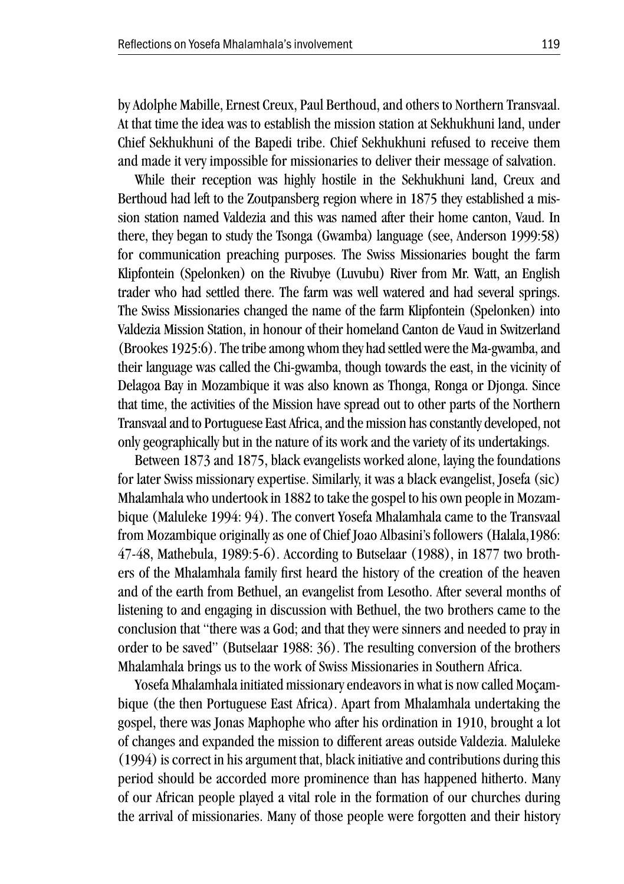by Adolphe Mabille, Ernest Creux, Paul Berthoud, and others to Northern Transvaal. At that time the idea was to establish the mission station at Sekhukhuni land, under Chief Sekhukhuni of the Bapedi tribe. Chief Sekhukhuni refused to receive them and made it very impossible for missionaries to deliver their message of salvation.

While their reception was highly hostile in the Sekhukhuni land, Creux and Berthoud had left to the Zoutpansberg region where in 1875 they established a mission station named Valdezia and this was named after their home canton, Vaud. In there, they began to study the Tsonga (Gwamba) language (see, Anderson 1999:58) for communication preaching purposes. The Swiss Missionaries bought the farm Klipfontein (Spelonken) on the Rivubye (Luvubu) River from Mr. Watt, an English trader who had settled there. The farm was well watered and had several springs. The Swiss Missionaries changed the name of the farm Klipfontein (Spelonken) into Valdezia Mission Station, in honour of their homeland Canton de Vaud in Switzerland (Brookes 1925:6). The tribe among whom they had settled were the Ma-gwamba, and their language was called the Chi-gwamba, though towards the east, in the vicinity of Delagoa Bay in Mozambique it was also known as Thonga, Ronga or Djonga. Since that time, the activities of the Mission have spread out to other parts of the Northern Transvaal and to Portuguese East Africa, and the mission has constantly developed, not only geographically but in the nature of its work and the variety of its undertakings.

Between 1873 and 1875, black evangelists worked alone, laying the foundations for later Swiss missionary expertise. Similarly, it was a black evangelist, Josefa (sic) Mhalamhala who undertook in 1882 to take the gospel to his own people in Mozambique (Maluleke 1994: 94). The convert Yosefa Mhalamhala came to the Transvaal from Mozambique originally as one of Chief Joao Albasini's followers (Halala,1986: 47-48, Mathebula, 1989:5-6). According to Butselaar (1988), in 1877 two brothers of the Mhalamhala family first heard the history of the creation of the heaven and of the earth from Bethuel, an evangelist from Lesotho. After several months of listening to and engaging in discussion with Bethuel, the two brothers came to the conclusion that "there was a God; and that they were sinners and needed to pray in order to be saved" (Butselaar 1988: 36). The resulting conversion of the brothers Mhalamhala brings us to the work of Swiss Missionaries in Southern Africa.

Yosefa Mhalamhala initiated missionary endeavors in what is now called Moçambique (the then Portuguese East Africa). Apart from Mhalamhala undertaking the gospel, there was Jonas Maphophe who after his ordination in 1910, brought a lot of changes and expanded the mission to different areas outside Valdezia. Maluleke (1994) is correct in his argument that, black initiative and contributions during this period should be accorded more prominence than has happened hitherto. Many of our African people played a vital role in the formation of our churches during the arrival of missionaries. Many of those people were forgotten and their history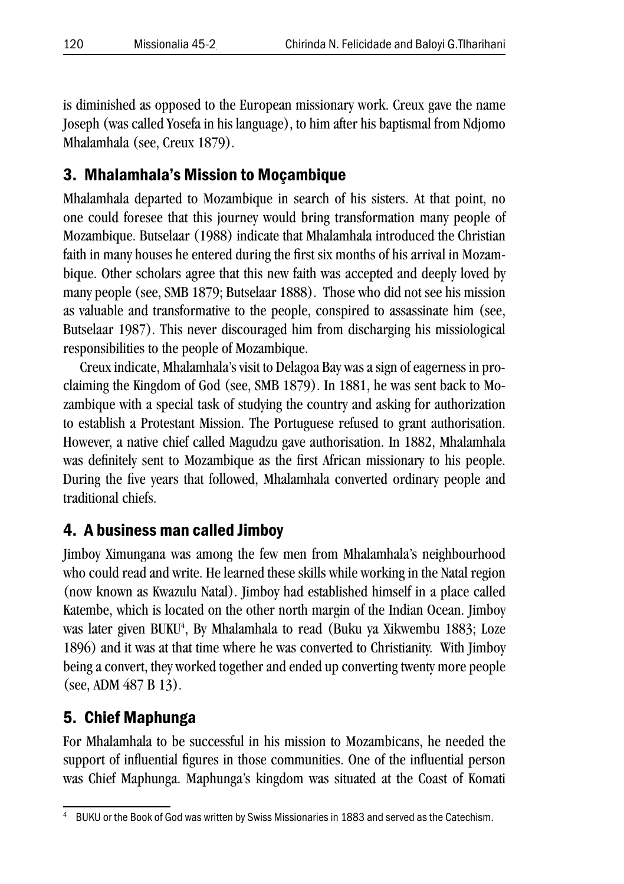is diminished as opposed to the European missionary work. Creux gave the name Joseph (was called Yosefa in his language), to him after his baptismal from Ndjomo Mhalamhala (see, Creux 1879).

## 3. Mhalamhala's Mission to Moçambique

Mhalamhala departed to Mozambique in search of his sisters. At that point, no one could foresee that this journey would bring transformation many people of Mozambique. Butselaar (1988) indicate that Mhalamhala introduced the Christian faith in many houses he entered during the first six months of his arrival in Mozambique. Other scholars agree that this new faith was accepted and deeply loved by many people (see, SMB 1879; Butselaar 1888). Those who did not see his mission as valuable and transformative to the people, conspired to assassinate him (see, Butselaar 1987). This never discouraged him from discharging his missiological responsibilities to the people of Mozambique.

Creux indicate, Mhalamhala's visit to Delagoa Bay was a sign of eagerness in proclaiming the Kingdom of God (see, SMB 1879). In 1881, he was sent back to Mozambique with a special task of studying the country and asking for authorization to establish a Protestant Mission. The Portuguese refused to grant authorisation. However, a native chief called Magudzu gave authorisation. In 1882, Mhalamhala was definitely sent to Mozambique as the first African missionary to his people. During the five years that followed, Mhalamhala converted ordinary people and traditional chiefs.

## 4. A business man called Jimboy

Jimboy Ximungana was among the few men from Mhalamhala's neighbourhood who could read and write. He learned these skills while working in the Natal region (now known as Kwazulu Natal). Jimboy had established himself in a place called Katembe, which is located on the other north margin of the Indian Ocean. Jimboy was later given BUKU<sup>4</sup>, By Mhalamhala to read (Buku ya Xikwembu 1883; Loze 1896) and it was at that time where he was converted to Christianity. With Jimboy being a convert, they worked together and ended up converting twenty more people (see, ADM 487 B 13).

## 5. Chief Maphunga

For Mhalamhala to be successful in his mission to Mozambicans, he needed the support of influential figures in those communities. One of the influential person was Chief Maphunga. Maphunga's kingdom was situated at the Coast of Komati

<sup>4</sup> BUKU or the Book of God was written by Swiss Missionaries in 1883 and served as the Catechism.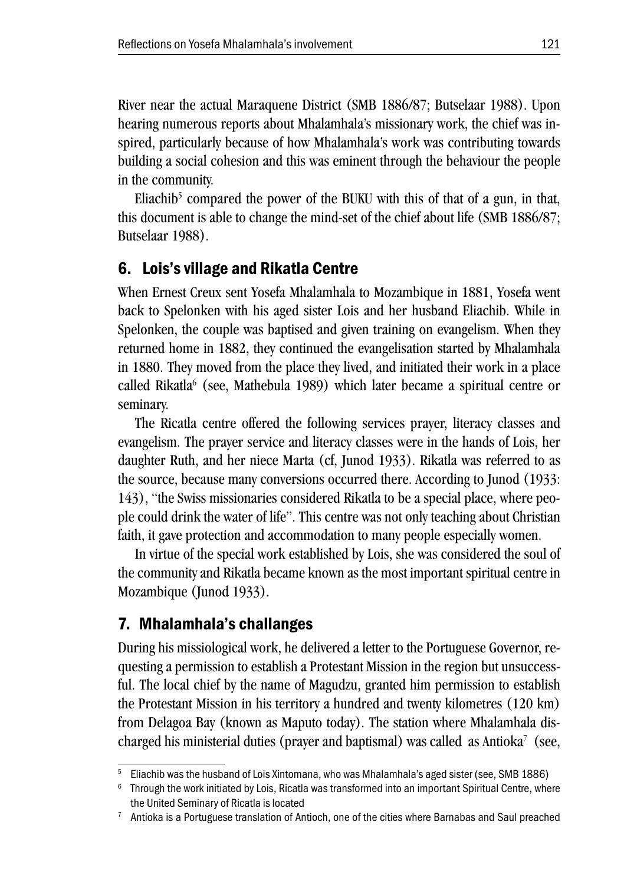River near the actual Maraquene District (SMB 1886/87; Butselaar 1988). Upon hearing numerous reports about Mhalamhala's missionary work, the chief was inspired, particularly because of how Mhalamhala's work was contributing towards building a social cohesion and this was eminent through the behaviour the people in the community.

Eliachib<sup>5</sup> compared the power of the BUKU with this of that of a gun, in that, this document is able to change the mind-set of the chief about life (SMB 1886/87; Butselaar 1988).

### 6. Lois's village and Rikatla Centre

When Ernest Creux sent Yosefa Mhalamhala to Mozambique in 1881, Yosefa went back to Spelonken with his aged sister Lois and her husband Eliachib. While in Spelonken, the couple was baptised and given training on evangelism. When they returned home in 1882, they continued the evangelisation started by Mhalamhala in 1880. They moved from the place they lived, and initiated their work in a place called Rikatla<sup>6</sup> (see, Mathebula 1989) which later became a spiritual centre or seminary.

The Ricatla centre offered the following services prayer, literacy classes and evangelism. The prayer service and literacy classes were in the hands of Lois, her daughter Ruth, and her niece Marta (cf, Junod 1933). Rikatla was referred to as the source, because many conversions occurred there. According to Junod (1933: 143), "the Swiss missionaries considered Rikatla to be a special place, where people could drink the water of life". This centre was not only teaching about Christian faith, it gave protection and accommodation to many people especially women.

In virtue of the special work established by Lois, she was considered the soul of the community and Rikatla became known as the most important spiritual centre in Mozambique (Junod 1933).

### 7. Mhalamhala's challanges

During his missiological work, he delivered a letter to the Portuguese Governor, requesting a permission to establish a Protestant Mission in the region but unsuccessful. The local chief by the name of Magudzu, granted him permission to establish the Protestant Mission in his territory a hundred and twenty kilometres (120 km) from Delagoa Bay (known as Maputo today). The station where Mhalamhala discharged his ministerial duties (prayer and baptismal) was called as Antioka<sup>7</sup> (see,

<sup>5</sup> Eliachib was the husband of Lois Xintomana, who was Mhalamhala's aged sister (see, SMB 1886)

 $6$  Through the work initiated by Lois, Ricatla was transformed into an important Spiritual Centre, where the United Seminary of Ricatla is located

<sup>&</sup>lt;sup>7</sup> Antioka is a Portuguese translation of Antioch, one of the cities where Barnabas and Saul preached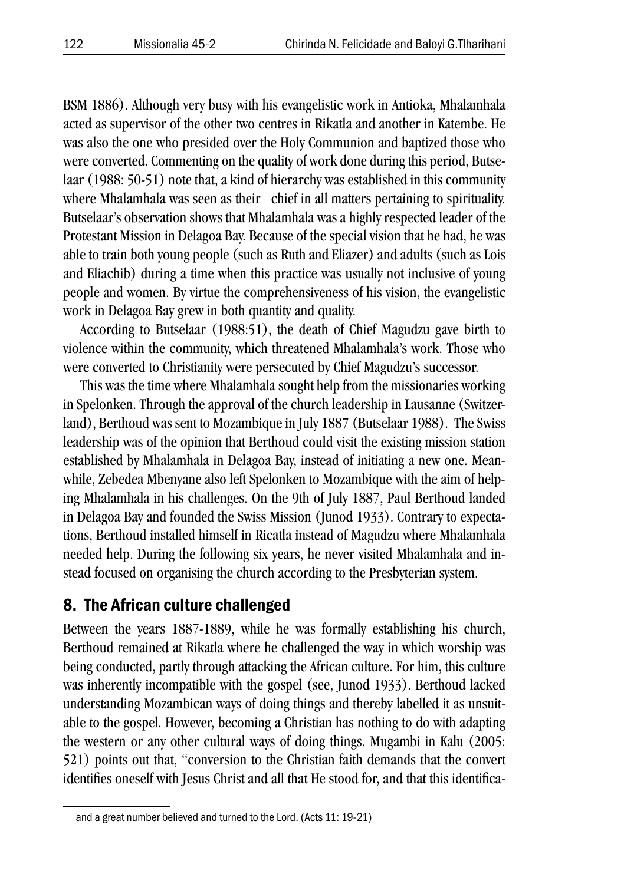BSM 1886). Although very busy with his evangelistic work in Antioka, Mhalamhala acted as supervisor of the other two centres in Rikatla and another in Katembe. He was also the one who presided over the Holy Communion and baptized those who were converted. Commenting on the quality of work done during this period, Butselaar (1988: 50-51) note that, a kind of hierarchy was established in this community where Mhalamhala was seen as their chief in all matters pertaining to spirituality. Butselaar's observation shows that Mhalamhala was a highly respected leader of the Protestant Mission in Delagoa Bay. Because of the special vision that he had, he was able to train both young people (such as Ruth and Eliazer) and adults (such as Lois and Eliachib) during a time when this practice was usually not inclusive of young people and women. By virtue the comprehensiveness of his vision, the evangelistic work in Delagoa Bay grew in both quantity and quality.

According to Butselaar (1988:51), the death of Chief Magudzu gave birth to violence within the community, which threatened Mhalamhala's work. Those who were converted to Christianity were persecuted by Chief Magudzu's successor.

This was the time where Mhalamhala sought help from the missionaries working in Spelonken. Through the approval of the church leadership in Lausanne (Switzerland), Berthoud was sent to Mozambique in July 1887 (Butselaar 1988). The Swiss leadership was of the opinion that Berthoud could visit the existing mission station established by Mhalamhala in Delagoa Bay, instead of initiating a new one. Meanwhile, Zebedea Mbenyane also left Spelonken to Mozambique with the aim of helping Mhalamhala in his challenges. On the 9th of July 1887, Paul Berthoud landed in Delagoa Bay and founded the Swiss Mission (Junod 1933). Contrary to expectations, Berthoud installed himself in Ricatla instead of Magudzu where Mhalamhala needed help. During the following six years, he never visited Mhalamhala and instead focused on organising the church according to the Presbyterian system.

### 8. The African culture challenged

Between the years 1887-1889, while he was formally establishing his church, Berthoud remained at Rikatla where he challenged the way in which worship was being conducted, partly through attacking the African culture. For him, this culture was inherently incompatible with the gospel (see, Junod 1933). Berthoud lacked understanding Mozambican ways of doing things and thereby labelled it as unsuitable to the gospel. However, becoming a Christian has nothing to do with adapting the western or any other cultural ways of doing things. Mugambi in Kalu (2005: 521) points out that, "conversion to the Christian faith demands that the convert identifies oneself with Jesus Christ and all that He stood for, and that this identifica-

and a great number believed and turned to the Lord. (Acts 11: 19-21)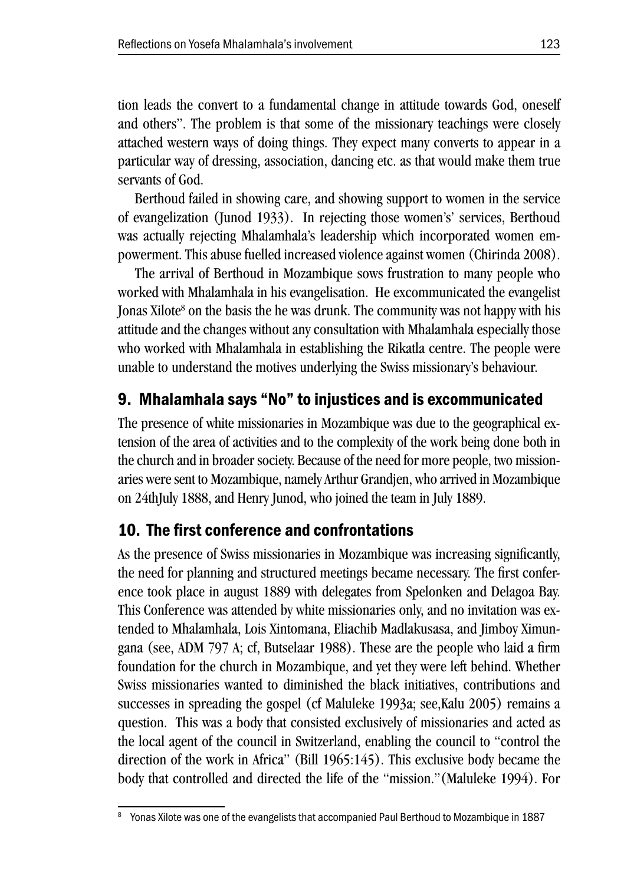tion leads the convert to a fundamental change in attitude towards God, oneself and others". The problem is that some of the missionary teachings were closely attached western ways of doing things. They expect many converts to appear in a particular way of dressing, association, dancing etc. as that would make them true servants of God.

Berthoud failed in showing care, and showing support to women in the service of evangelization (Junod 1933). In rejecting those women's' services, Berthoud was actually rejecting Mhalamhala's leadership which incorporated women empowerment. This abuse fuelled increased violence against women (Chirinda 2008).

The arrival of Berthoud in Mozambique sows frustration to many people who worked with Mhalamhala in his evangelisation. He excommunicated the evangelist Jonas Xilote<sup>8</sup> on the basis the he was drunk. The community was not happy with his attitude and the changes without any consultation with Mhalamhala especially those who worked with Mhalamhala in establishing the Rikatla centre. The people were unable to understand the motives underlying the Swiss missionary's behaviour.

# 9. Mhalamhala says "No" to injustices and is excommunicated

The presence of white missionaries in Mozambique was due to the geographical extension of the area of activities and to the complexity of the work being done both in the church and in broader society. Because of the need for more people, two missionaries were sent to Mozambique, namely Arthur Grandjen, who arrived in Mozambique on 24thJuly 1888, and Henry Junod, who joined the team in July 1889.

## 10. The first conference and confrontations

As the presence of Swiss missionaries in Mozambique was increasing significantly, the need for planning and structured meetings became necessary. The first conference took place in august 1889 with delegates from Spelonken and Delagoa Bay. This Conference was attended by white missionaries only, and no invitation was extended to Mhalamhala, Lois Xintomana, Eliachib Madlakusasa, and Jimboy Ximungana (see, ADM 797 A; cf, Butselaar 1988). These are the people who laid a firm foundation for the church in Mozambique, and yet they were left behind. Whether Swiss missionaries wanted to diminished the black initiatives, contributions and successes in spreading the gospel (cf Maluleke 1993a; see,Kalu 2005) remains a question. This was a body that consisted exclusively of missionaries and acted as the local agent of the council in Switzerland, enabling the council to "control the direction of the work in Africa" (Bill 1965:145). This exclusive body became the body that controlled and directed the life of the "mission."(Maluleke 1994). For

<sup>8</sup> Yonas Xilote was one of the evangelists that accompanied Paul Berthoud to Mozambique in 1887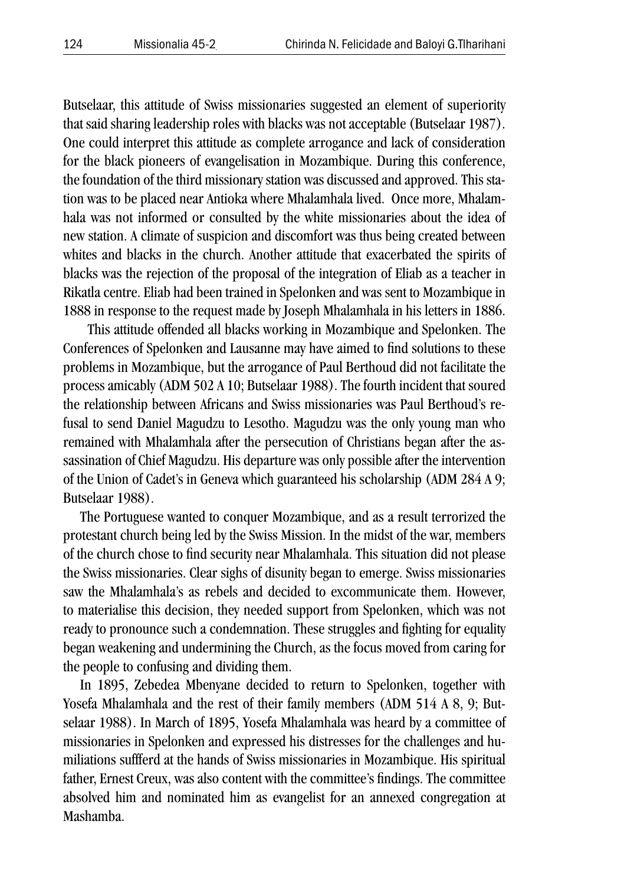Butselaar, this attitude of Swiss missionaries suggested an element of superiority that said sharing leadership roles with blacks was not acceptable (Butselaar 1987). One could interpret this attitude as complete arrogance and lack of consideration for the black pioneers of evangelisation in Mozambique. During this conference, the foundation of the third missionary station was discussed and approved. This station was to be placed near Antioka where Mhalamhala lived. Once more, Mhalamhala was not informed or consulted by the white missionaries about the idea of new station. A climate of suspicion and discomfort was thus being created between whites and blacks in the church. Another attitude that exacerbated the spirits of blacks was the rejection of the proposal of the integration of Eliab as a teacher in Rikatla centre. Eliab had been trained in Spelonken and was sent to Mozambique in 1888 in response to the request made by Joseph Mhalamhala in his letters in 1886.

 This attitude offended all blacks working in Mozambique and Spelonken. The Conferences of Spelonken and Lausanne may have aimed to find solutions to these problems in Mozambique, but the arrogance of Paul Berthoud did not facilitate the process amicably (ADM 502 A 10; Butselaar 1988). The fourth incident that soured the relationship between Africans and Swiss missionaries was Paul Berthoud's refusal to send Daniel Magudzu to Lesotho. Magudzu was the only young man who remained with Mhalamhala after the persecution of Christians began after the assassination of Chief Magudzu. His departure was only possible after the intervention of the Union of Cadet's in Geneva which guaranteed his scholarship (ADM 284 A 9; Butselaar 1988).

The Portuguese wanted to conquer Mozambique, and as a result terrorized the protestant church being led by the Swiss Mission. In the midst of the war, members of the church chose to find security near Mhalamhala. This situation did not please the Swiss missionaries. Clear sighs of disunity began to emerge. Swiss missionaries saw the Mhalamhala's as rebels and decided to excommunicate them. However, to materialise this decision, they needed support from Spelonken, which was not ready to pronounce such a condemnation. These struggles and fighting for equality began weakening and undermining the Church, as the focus moved from caring for the people to confusing and dividing them.

In 1895, Zebedea Mbenyane decided to return to Spelonken, together with Yosefa Mhalamhala and the rest of their family members (ADM 514 A 8, 9; Butselaar 1988). In March of 1895, Yosefa Mhalamhala was heard by a committee of missionaries in Spelonken and expressed his distresses for the challenges and humiliations suffferd at the hands of Swiss missionaries in Mozambique. His spiritual father, Ernest Creux, was also content with the committee's findings. The committee absolved him and nominated him as evangelist for an annexed congregation at Mashamba.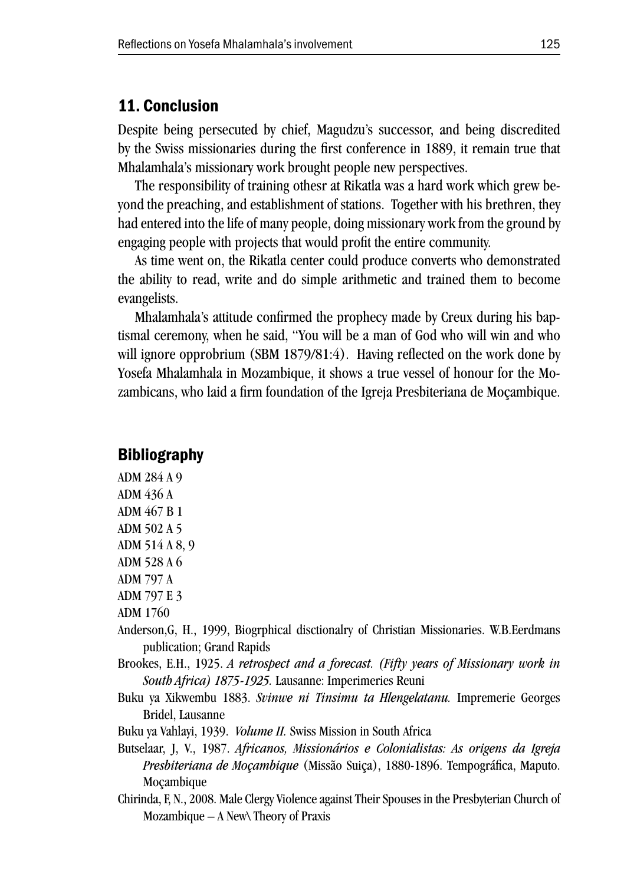#### 11. Conclusion

Despite being persecuted by chief, Magudzu's successor, and being discredited by the Swiss missionaries during the first conference in 1889, it remain true that Mhalamhala's missionary work brought people new perspectives.

The responsibility of training othesr at Rikatla was a hard work which grew beyond the preaching, and establishment of stations. Together with his brethren, they had entered into the life of many people, doing missionary work from the ground by engaging people with projects that would profit the entire community.

As time went on, the Rikatla center could produce converts who demonstrated the ability to read, write and do simple arithmetic and trained them to become evangelists.

Mhalamhala's attitude confirmed the prophecy made by Creux during his baptismal ceremony, when he said, "You will be a man of God who will win and who will ignore opprobrium (SBM 1879/81:4). Having reflected on the work done by Yosefa Mhalamhala in Mozambique, it shows a true vessel of honour for the Mozambicans, who laid a firm foundation of the Igreja Presbiteriana de Moçambique.

#### **Bibliography**

ADM 284 A 9 ADM 436 A ADM 467 B 1 ADM 502 A 5 ADM 514 A 8, 9 ADM 528 A 6 ADM 797 A ADM 797 E 3

ADM 1760

- Anderson,G, H., 1999, Biogrphical disctionalry of Christian Missionaries. W.B.Eerdmans publication; Grand Rapids
- Brookes, E.H., 1925. *A retrospect and a forecast. (Fifty years of Missionary work in South Africa) 1875-1925.* Lausanne: Imperimeries Reuni
- Buku ya Xikwembu 1883. *Svinwe ni Tinsimu ta Hlengelatanu.* Impremerie Georges Bridel, Lausanne
- Buku ya Vahlayi, 1939. *Volume II.* Swiss Mission in South Africa
- Butselaar, J, V., 1987. *Africanos, Missionários e Colonialistas: As origens da Igreja Presbiteriana de Moçambique* (Missão Suiça), 1880-1896. Tempográfica, Maputo. Moçambique
- Chirinda, F, N., 2008. Male Clergy Violence against Their Spouses in the Presbyterian Church of Mozambique – A New\ Theory of Praxis